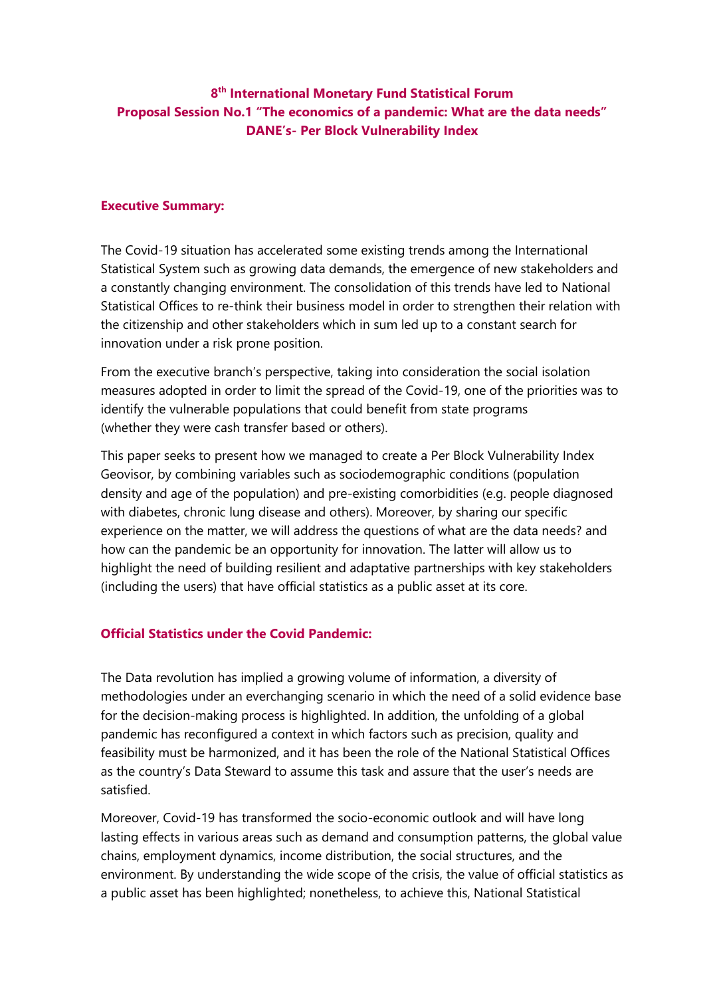# **8th International Monetary Fund Statistical Forum Proposal Session No.1 "The economics of a pandemic: What are the data needs" DANE's- Per Block Vulnerability Index**

#### **Executive Summary:**

The Covid-19 situation has accelerated some existing trends among the International Statistical System such as growing data demands, the emergence of new stakeholders and a constantly changing environment. The consolidation of this trends have led to National Statistical Offices to re-think their business model in order to strengthen their relation with the citizenship and other stakeholders which in sum led up to a constant search for innovation under a risk prone position.

From the executive branch's perspective, taking into consideration the social isolation measures adopted in order to limit the spread of the Covid-19, one of the priorities was to identify the vulnerable populations that could benefit from state programs (whether they were cash transfer based or others).

This paper seeks to present how we managed to create a Per Block Vulnerability Index Geovisor, by combining variables such as sociodemographic conditions (population density and age of the population) and pre-existing comorbidities (e.g. people diagnosed with diabetes, chronic lung disease and others). Moreover, by sharing our specific experience on the matter, we will address the questions of what are the data needs? and how can the pandemic be an opportunity for innovation. The latter will allow us to highlight the need of building resilient and adaptative partnerships with key stakeholders (including the users) that have official statistics as a public asset at its core.

### **Official Statistics under the Covid Pandemic:**

The Data revolution has implied a growing volume of information, a diversity of methodologies under an everchanging scenario in which the need of a solid evidence base for the decision-making process is highlighted. In addition, the unfolding of a global pandemic has reconfigured a context in which factors such as precision, quality and feasibility must be harmonized, and it has been the role of the National Statistical Offices as the country's Data Steward to assume this task and assure that the user's needs are satisfied.

Moreover, Covid-19 has transformed the socio-economic outlook and will have long lasting effects in various areas such as demand and consumption patterns, the global value chains, employment dynamics, income distribution, the social structures, and the environment. By understanding the wide scope of the crisis, the value of official statistics as a public asset has been highlighted; nonetheless, to achieve this, National Statistical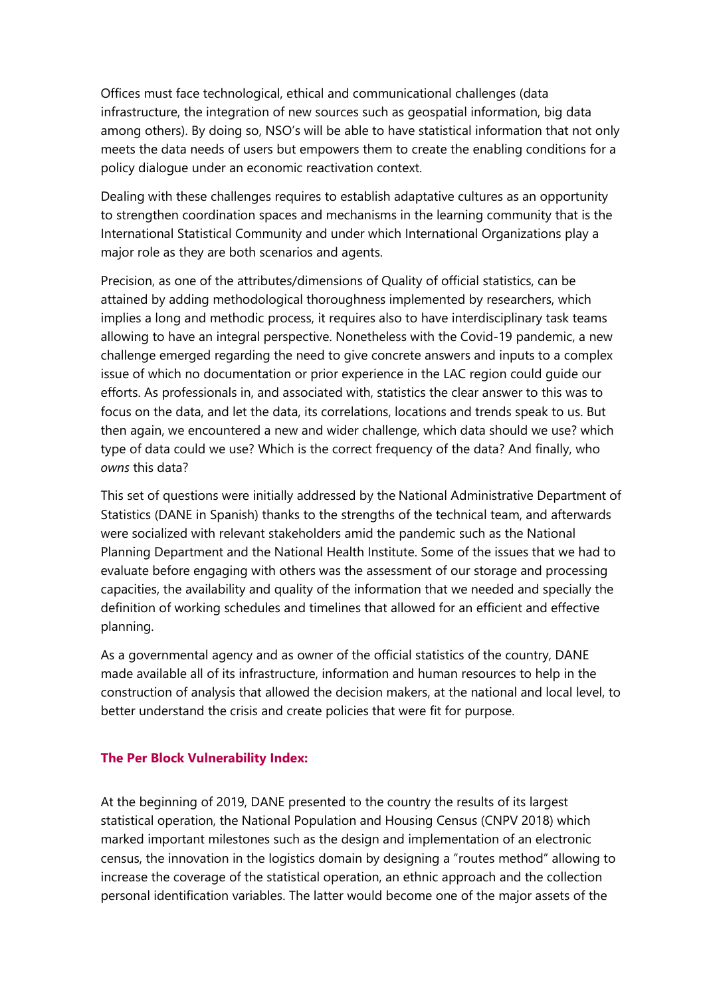Offices must face technological, ethical and communicational challenges (data infrastructure, the integration of new sources such as geospatial information, big data among others). By doing so, NSO's will be able to have statistical information that not only meets the data needs of users but empowers them to create the enabling conditions for a policy dialogue under an economic reactivation context.

Dealing with these challenges requires to establish adaptative cultures as an opportunity to strengthen coordination spaces and mechanisms in the learning community that is the International Statistical Community and under which International Organizations play a major role as they are both scenarios and agents.

Precision, as one of the attributes/dimensions of Quality of official statistics, can be attained by adding methodological thoroughness implemented by researchers, which implies a long and methodic process, it requires also to have interdisciplinary task teams allowing to have an integral perspective. Nonetheless with the Covid-19 pandemic, a new challenge emerged regarding the need to give concrete answers and inputs to a complex issue of which no documentation or prior experience in the LAC region could guide our efforts. As professionals in, and associated with, statistics the clear answer to this was to focus on the data, and let the data, its correlations, locations and trends speak to us. But then again, we encountered a new and wider challenge, which data should we use? which type of data could we use? Which is the correct frequency of the data? And finally, who *owns* this data?

This set of questions were initially addressed by the National Administrative Department of Statistics (DANE in Spanish) thanks to the strengths of the technical team, and afterwards were socialized with relevant stakeholders amid the pandemic such as the National Planning Department and the National Health Institute. Some of the issues that we had to evaluate before engaging with others was the assessment of our storage and processing capacities, the availability and quality of the information that we needed and specially the definition of working schedules and timelines that allowed for an efficient and effective planning.

As a governmental agency and as owner of the official statistics of the country, DANE made available all of its infrastructure, information and human resources to help in the construction of analysis that allowed the decision makers, at the national and local level, to better understand the crisis and create policies that were fit for purpose.

### **The Per Block Vulnerability Index:**

At the beginning of 2019, DANE presented to the country the results of its largest statistical operation, the National Population and Housing Census (CNPV 2018) which marked important milestones such as the design and implementation of an electronic census, the innovation in the logistics domain by designing a "routes method" allowing to increase the coverage of the statistical operation, an ethnic approach and the collection personal identification variables. The latter would become one of the major assets of the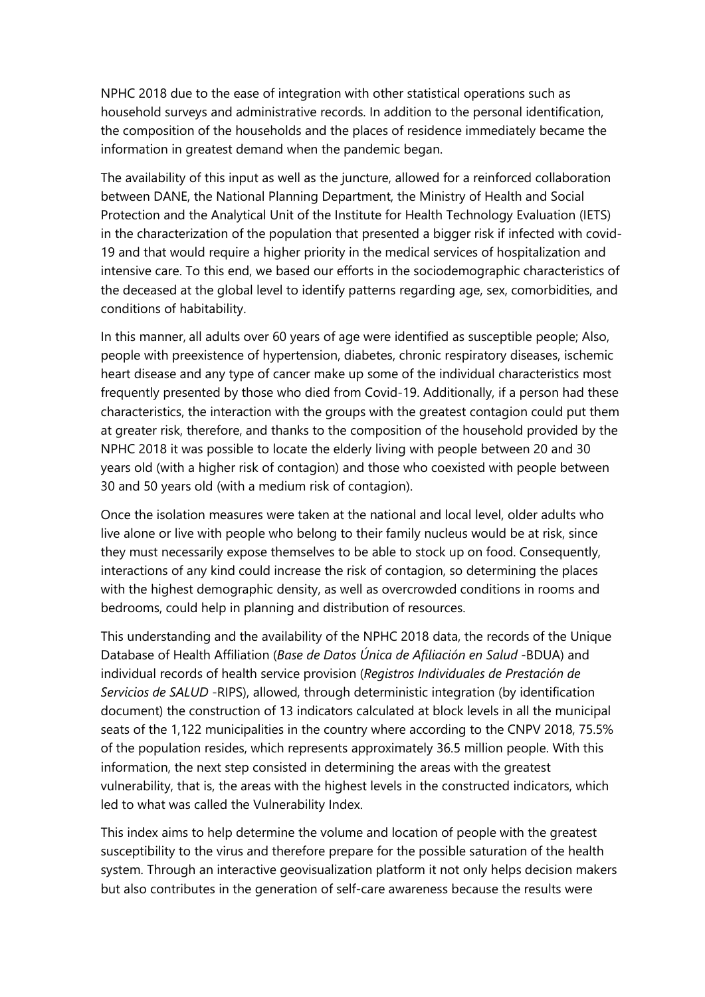NPHC 2018 due to the ease of integration with other statistical operations such as household surveys and administrative records. In addition to the personal identification, the composition of the households and the places of residence immediately became the information in greatest demand when the pandemic began.

The availability of this input as well as the juncture, allowed for a reinforced collaboration between DANE, the National Planning Department, the Ministry of Health and Social Protection and the Analytical Unit of the Institute for Health Technology Evaluation (IETS) in the characterization of the population that presented a bigger risk if infected with covid-19 and that would require a higher priority in the medical services of hospitalization and intensive care. To this end, we based our efforts in the sociodemographic characteristics of the deceased at the global level to identify patterns regarding age, sex, comorbidities, and conditions of habitability.

In this manner, all adults over 60 years of age were identified as susceptible people; Also, people with preexistence of hypertension, diabetes, chronic respiratory diseases, ischemic heart disease and any type of cancer make up some of the individual characteristics most frequently presented by those who died from Covid-19. Additionally, if a person had these characteristics, the interaction with the groups with the greatest contagion could put them at greater risk, therefore, and thanks to the composition of the household provided by the NPHC 2018 it was possible to locate the elderly living with people between 20 and 30 years old (with a higher risk of contagion) and those who coexisted with people between 30 and 50 years old (with a medium risk of contagion).

Once the isolation measures were taken at the national and local level, older adults who live alone or live with people who belong to their family nucleus would be at risk, since they must necessarily expose themselves to be able to stock up on food. Consequently, interactions of any kind could increase the risk of contagion, so determining the places with the highest demographic density, as well as overcrowded conditions in rooms and bedrooms, could help in planning and distribution of resources.

This understanding and the availability of the NPHC 2018 data, the records of the Unique Database of Health Affiliation (*Base de Datos Única de Afiliación en Salud* -BDUA) and individual records of health service provision (*Registros Individuales de Prestación de Servicios de SALUD* -RIPS), allowed, through deterministic integration (by identification document) the construction of 13 indicators calculated at block levels in all the municipal seats of the 1,122 municipalities in the country where according to the CNPV 2018, 75.5% of the population resides, which represents approximately 36.5 million people. With this information, the next step consisted in determining the areas with the greatest vulnerability, that is, the areas with the highest levels in the constructed indicators, which led to what was called the Vulnerability Index.

This index aims to help determine the volume and location of people with the greatest susceptibility to the virus and therefore prepare for the possible saturation of the health system. Through an interactive geovisualization platform it not only helps decision makers but also contributes in the generation of self-care awareness because the results were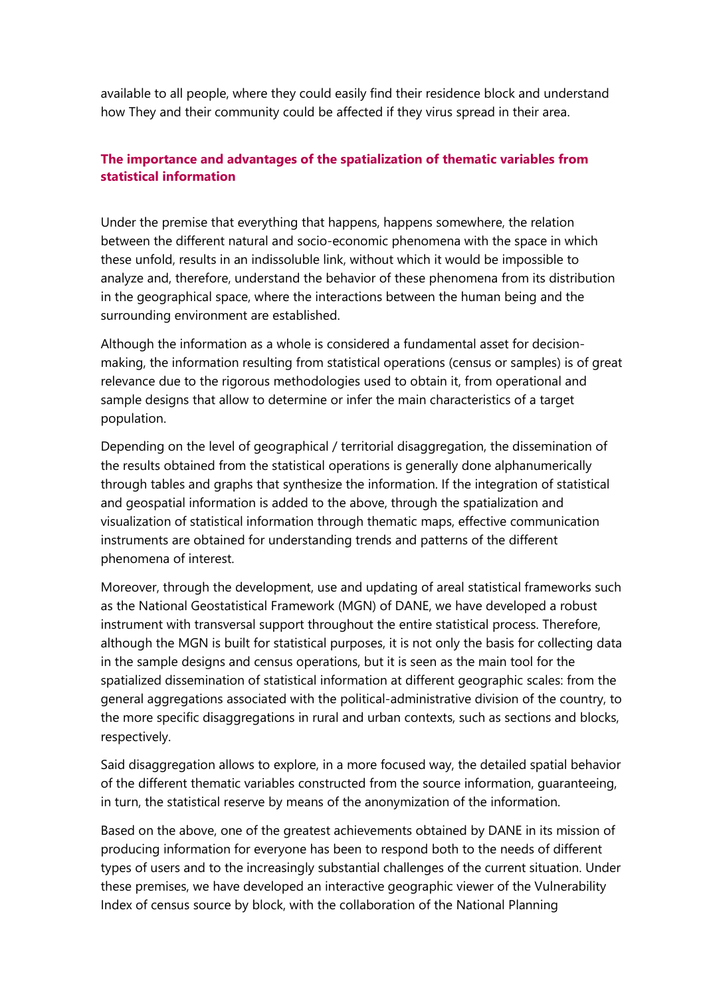available to all people, where they could easily find their residence block and understand how They and their community could be affected if they virus spread in their area.

## **The importance and advantages of the spatialization of thematic variables from statistical information**

Under the premise that everything that happens, happens somewhere, the relation between the different natural and socio-economic phenomena with the space in which these unfold, results in an indissoluble link, without which it would be impossible to analyze and, therefore, understand the behavior of these phenomena from its distribution in the geographical space, where the interactions between the human being and the surrounding environment are established.

Although the information as a whole is considered a fundamental asset for decisionmaking, the information resulting from statistical operations (census or samples) is of great relevance due to the rigorous methodologies used to obtain it, from operational and sample designs that allow to determine or infer the main characteristics of a target population.

Depending on the level of geographical / territorial disaggregation, the dissemination of the results obtained from the statistical operations is generally done alphanumerically through tables and graphs that synthesize the information. If the integration of statistical and geospatial information is added to the above, through the spatialization and visualization of statistical information through thematic maps, effective communication instruments are obtained for understanding trends and patterns of the different phenomena of interest.

Moreover, through the development, use and updating of areal statistical frameworks such as the National Geostatistical Framework (MGN) of DANE, we have developed a robust instrument with transversal support throughout the entire statistical process. Therefore, although the MGN is built for statistical purposes, it is not only the basis for collecting data in the sample designs and census operations, but it is seen as the main tool for the spatialized dissemination of statistical information at different geographic scales: from the general aggregations associated with the political-administrative division of the country, to the more specific disaggregations in rural and urban contexts, such as sections and blocks, respectively.

Said disaggregation allows to explore, in a more focused way, the detailed spatial behavior of the different thematic variables constructed from the source information, guaranteeing, in turn, the statistical reserve by means of the anonymization of the information.

Based on the above, one of the greatest achievements obtained by DANE in its mission of producing information for everyone has been to respond both to the needs of different types of users and to the increasingly substantial challenges of the current situation. Under these premises, we have developed an interactive geographic viewer of the Vulnerability Index of census source by block, with the collaboration of the National Planning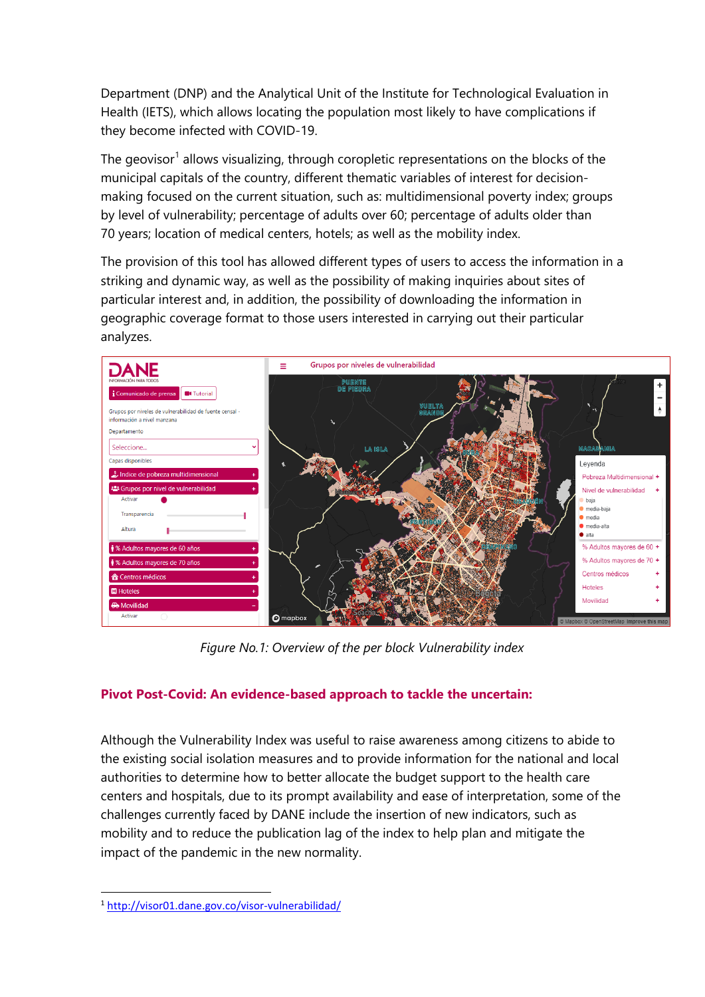Department (DNP) and the Analytical Unit of the Institute for Technological Evaluation in Health (IETS), which allows locating the population most likely to have complications if they become infected with COVID-19.

The geovisor<sup>[1](#page-4-0)</sup> allows visualizing, through coropletic representations on the blocks of the municipal capitals of the country, different thematic variables of interest for decisionmaking focused on the current situation, such as: multidimensional poverty index; groups by level of vulnerability; percentage of adults over 60; percentage of adults older than 70 years; location of medical centers, hotels; as well as the mobility index.

The provision of this tool has allowed different types of users to access the information in a striking and dynamic way, as well as the possibility of making inquiries about sites of particular interest and, in addition, the possibility of downloading the information in geographic coverage format to those users interested in carrying out their particular analyzes.



*Figure No.1: Overview of the per block Vulnerability index* 

## **Pivot Post-Covid: An evidence-based approach to tackle the uncertain:**

Although the Vulnerability Index was useful to raise awareness among citizens to abide to the existing social isolation measures and to provide information for the national and local authorities to determine how to better allocate the budget support to the health care centers and hospitals, due to its prompt availability and ease of interpretation, some of the challenges currently faced by DANE include the insertion of new indicators, such as mobility and to reduce the publication lag of the index to help plan and mitigate the impact of the pandemic in the new normality.

<span id="page-4-0"></span><sup>1</sup> <http://visor01.dane.gov.co/visor-vulnerabilidad/>